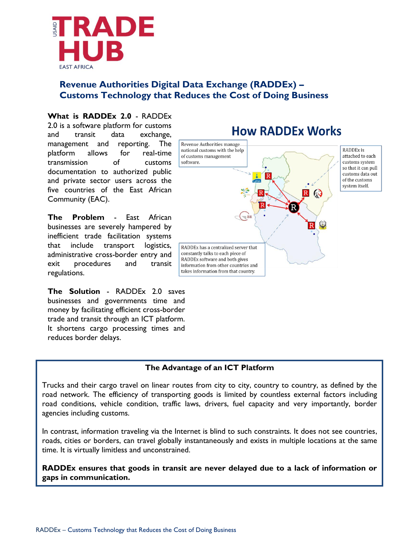

# **Revenue Authorities Digital Data Exchange (RADDEx) – Customs Technology that Reduces the Cost of Doing Business**

### **What is RADDEx 2.0** - RADDEx 2.0 is a software platform for customs

and transit data exchange, management and reporting. The platform allows for real-time transmission of customs documentation to authorized public and private sector users across the five countries of the East African Community (EAC).

**The Problem** - East African businesses are severely hampered by inefficient trade facilitation systems that include transport logistics, administrative cross-border entry and exit procedures and transit regulations.

**The Solution** - RADDEx 2.0 saves businesses and governments time and money by facilitating efficient cross-border trade and transit through an ICT platform. It shortens cargo processing times and reduces border delays.

# **How RADDEx Works**



# **The Advantage of an ICT Platform**

Trucks and their cargo travel on linear routes from city to city, country to country, as defined by the road network. The efficiency of transporting goods is limited by countless external factors including road conditions, vehicle condition, traffic laws, drivers, fuel capacity and very importantly, border agencies including customs.

In contrast, information traveling via the Internet is blind to such constraints. It does not see countries, roads, cities or borders, can travel globally instantaneously and exists in multiple locations at the same time. It is virtually limitless and unconstrained.

**RADDEx ensures that goods in transit are never delayed due to a lack of information or gaps in communication.**